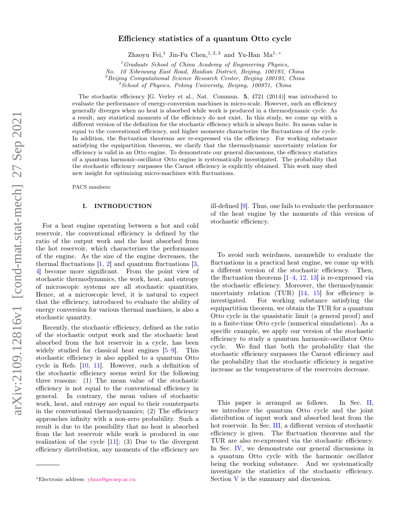# Efficiency statistics of a quantum Otto cycle

Zhaoyu Fei,<sup>1</sup> Jin-Fu Chen,<sup>1, 2, 3</sup> and Yu-Han Ma<sup>1, [∗](#page-0-0)</sup>

 $1$ <sup>1</sup> Graduate School of China Academy of Engineering Physics,

No. 10 Xibeiwang East Road, Haidian District, Beijing, 100193, China

 ${}^{2}$ Beijing Computational Science Research Center, Beijing 100193, China

 ${}^{3}S$ chool of Physics, Peking University, Beijing, 100871, China

The stochastic efficiency [G. Verley et al., Nat. Commun. 5, 4721 (2014)] was introduced to evaluate the performance of energy-conversion machines in micro-scale. However, such an efficiency generally diverges when no heat is absorbed while work is produced in a thermodynamic cycle. As a result, any statistical moments of the efficiency do not exist. In this study, we come up with a different version of the definition for the stochastic efficiency which is always finite. Its mean value is equal to the conventional efficiency, and higher moments characterize the fluctuations of the cycle. In addition, the fluctuation theorems are re-expressed via the efficiency. For working substance satisfying the equipartition theorem, we clarify that the thermodynamic uncertainty relation for efficiency is valid in an Otto engine. To demonstrate our general discussions, the efficiency statistics of a quantum harmonic-oscillator Otto engine is systematically investigated. The probability that the stochastic efficiency surpasses the Carnot efficiency is explicitly obtained. This work may shed new insight for optimizing micro-machines with fluctuations.

PACS numbers:

### I. INTRODUCTION

For a heat engine operating between a hot and cold reservoir, the conventional efficiency is defined by the ratio of the output work and the heat absorbed from the hot reservoir, which characterizes the performance of the engine. As the size of the engine decreases, the thermal fluctuations  $[1, 2]$  $[1, 2]$  $[1, 2]$  and quantum fluctuations  $[3, 3]$  $[3, 3]$ [4\]](#page-9-3) become more significant. From the point view of stochastic thermodynamics, the work, heat, and entropy of microscopic systems are all stochastic quantities. Hence, at a microscopic level, it is natural to expect that the efficiency, introduced to evaluate the ability of energy conversion for various thermal machines, is also a stochastic quantity.

Recently, the stochastic efficiency, defined as the ratio of the stochastic output work and the stochastic heat absorbed from the hot reservoir in a cycle, has been widely studied for classical heat engines [\[5–](#page-9-4)[9\]](#page-9-5). This stochastic efficiency is also applied to a quantum Otto cycle in Refs. [\[10,](#page-9-6) [11\]](#page-9-7). However, such a definition of the stochastic efficiency seems weird for the following three reasons: (1) The mean value of the stochastic efficiency is not equal to the conventional efficiency in general. In contrary, the mean values of stochastic work, heat, and entropy are equal to their counterparts in the conventional thermodynamics; (2) The efficiency approaches infinity with a non-zero probability. Such a result is due to the possibility that no heat is absorbed from the hot reservoir while work is produced in one realization of the cycle  $[11]$ ; (3) Due to the divergent efficiency distribution, any moments of the efficiency are ill-defined [\[9\]](#page-9-5). Thus, one fails to evaluate the performance of the heat engine by the moments of this version of stochastic efficiency.

To avoid such weirdness, meanwhile to evaluate the fluctuations in a practical heat engine, we come up with a different version of the stochastic efficiency. Then, the fluctuation theorems  $[1-4, 12, 13]$  $[1-4, 12, 13]$  $[1-4, 12, 13]$  $[1-4, 12, 13]$  $[1-4, 12, 13]$  $[1-4, 12, 13]$  is re-expressed via the stochastic efficiency. Moreover, the thermodynamic uncertainty relation  $(TUR)$  [\[14,](#page-9-10) [15\]](#page-9-11) for efficiency is investigated. For working substance satisfying the equipartition theorem, we obtain the TUR for a quantum Otto cycle in the quasistatic limit (a general proof) and in a finite-time Otto cycle (numerical simulations). As a specific example, we apply our version of the stochastic efficiency to study a quantum harmonic-oscillator Otto cycle. We find that both the probability that the stochastic efficiency surpasses the Carnot efficiency and the probability that the stochastic efficiency is negative increase as the temperatures of the reservoirs decrease.

This paper is arranged as follows. In Sec. [II,](#page-1-0) we introduce the quantum Otto cycle and the joint distribution of input work and absorbed heat from the hot reservoir. In Sec. [III,](#page-1-1) a different version of stochastic efficiency is given. The fluctuation theorems and the TUR are also re-expressed via the stochastic efficiency. In Sec. [IV,](#page-2-0) we demonstrate our general discussions in a quantum Otto cycle with the harmonic oscillator being the working substance. And we systematically investigate the statistics of the stochastic efficiency. Section [V](#page-7-0) is the summary and discussion.

<span id="page-0-0"></span><sup>∗</sup>Electronic address: [yhma@gscaep.ac.cn](mailto:yhma@gscaep.ac.cn)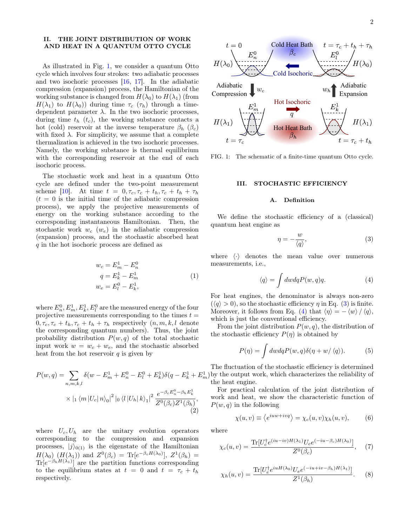## <span id="page-1-0"></span>II. THE JOINT DISTRIBUTION OF WORK AND HEAT IN A QUANTUM OTTO CYCLE

As illustrated in Fig. [1,](#page-1-2) we consider a quantum Otto cycle which involves four strokes: two adiabatic processes and two isochoric processes [\[16,](#page-9-12) [17\]](#page-9-13). In the adiabatic compression (expansion) process, the Hamiltonian of the working substance is changed from  $H(\lambda_0)$  to  $H(\lambda_1)$  (from  $H(\lambda_1)$  to  $H(\lambda_0)$  during time  $\tau_c$  ( $\tau_h$ ) through a timedependent parameter  $\lambda$ . In the two isochoric processes, during time  $t_h$  ( $t_c$ ), the working substance contacts a hot (cold) reservoir at the inverse temperature  $\beta_h$  ( $\beta_c$ ) with fixed  $\lambda$ . For simplicity, we assume that a complete thermalization is achieved in the two isochoric processes. Namely, the working substance is thermal equilibrium with the corresponding reservoir at the end of each isochoric process.

The stochastic work and heat in a quantum Otto cycle are defined under the two-point measurement scheme [\[10\]](#page-9-6). At time  $t = 0, \tau_c, \tau_c + t_h, \tau_c + t_h + \tau_h$  $(t = 0)$  is the initial time of the adiabatic compression process), we apply the projective measurements of energy on the working substance according to the corresponding instantaneous Hamiltonian. Then, the stochastic work  $w_c$  ( $w_e$ ) in the adiabatic compression (expansion) process, and the stochastic absorbed heat q in the hot isochoric process are defined as

$$
w_c = E_m^1 - E_n^0
$$
  
\n
$$
q = E_k^1 - E_m^1
$$
  
\n
$$
w_e = E_l^0 - E_k^1,
$$
\n(1)

where  $E_n^0, E_m^1, E_k^1, E_l^0$  are the measured energy of the four projective measurements corresponding to the times  $t =$  $0, \tau_c, \tau_c + t_h, \tau_c + t_h + \tau_h$  respectively  $(n, m, k, l$  denote the corresponding quantum numbers). Thus, the joint probability distribution  $P(w, q)$  of the total stochastic input work  $w = w_c + w_e$ , and the stochastic absorbed heat from the hot reservoir  $q$  is given by

$$
P(w,q) = \sum_{n,m,k,l} \delta(w - E_m^1 + E_n^0 - E_l^0 + E_k^1) \delta(q - E_k^1 + E_r^1)
$$
  
 
$$
\times |{}_1 \langle m | U_c | n \rangle_0 |^2 |{}_0 \langle l | U_h | k \rangle_1 |^2 \frac{e^{-\beta_c E_n^0 - \beta_h E_k^1}}{Z^0(\beta_c) Z^1(\beta_h)}, \tag{2}
$$

where  $U_c, U_h$  are the unitary evolution operators corresponding to the compression and expansion processes,  $|j\rangle_{0(1)}$  is the eigenstate of the Hamiltonian  $H(\lambda_0)$   $(H(\lambda_1))$  and  $Z^0(\beta_c) = \text{Tr}[e^{-\beta_c H(\lambda_0)}], Z^1(\beta_h) =$  $Tr[e^{-\beta_h H(\lambda_1)}]$  are the partition functions corresponding to the equilibrium states at  $t = 0$  and  $t = \tau_c + t_h$ respectively.



<span id="page-1-2"></span>FIG. 1: The schematic of a finite-time quantum Otto cycle.

### <span id="page-1-1"></span>III. STOCHASTIC EFFICIENCY

#### A. Definition

We define the stochastic efficiency of a (classical) quantum heat engine as

<span id="page-1-3"></span>
$$
\eta = -\frac{w}{\langle q \rangle},\tag{3}
$$

where  $\langle \cdot \rangle$  denotes the mean value over numerous measurements, i.e.,

<span id="page-1-4"></span>
$$
\langle q \rangle = \int dw dq P(w, q) q. \tag{4}
$$

For heat engines, the denominator is always non-zero  $(\langle q \rangle > 0)$ , so the stochastic efficiency  $\eta$  in Eq. [\(3\)](#page-1-3) is finite. Moreover, it follows from Eq. [\(4\)](#page-1-4) that  $\langle \eta \rangle = - \langle w \rangle / \langle q \rangle$ , which is just the conventional efficiency.

From the joint distribution  $P(w, q)$ , the distribution of the stochastic efficiency  $P(\eta)$  is obtained by

$$
P(\eta) = \int dw dq P(w, q) \delta(\eta + w/\langle q \rangle). \tag{5}
$$

 $\binom{1}{m}$  by the output work, which characterizes the reliability of The fluctuation of the stochastic efficiency is determined the heat engine.

For practical calculation of the joint distribution of work and heat, we show the characteristic function of  $P(w, q)$  in the following

<span id="page-1-5"></span>
$$
\chi(u,v) \equiv \langle e^{iuw + ivq} \rangle = \chi_c(u,v)\chi_h(u,v), \qquad (6)
$$

where

$$
\chi_c(u,v) = \frac{\text{Tr}[U_c^{\dagger}e^{(iu - iv)H(\lambda_1)}U_c e^{(-iu - \beta_c)H(\lambda_0)}]}{Z^0(\beta_c)},\quad(7)
$$

$$
\chi_h(u,v) = \frac{\text{Tr}[U_e^{\dagger} e^{iuH(\lambda_0)} U_e e^{(-iu + iv - \beta_h)H(\lambda_1)}]}{Z^1(\beta_h)}.
$$
 (8)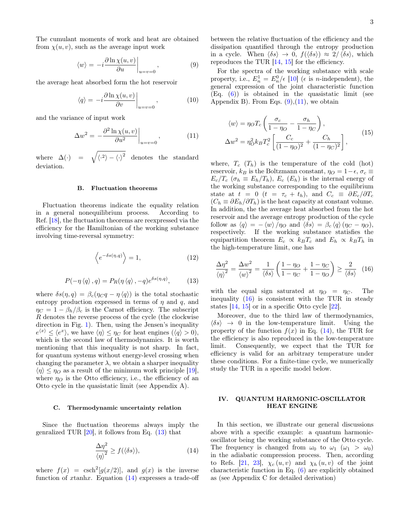The cumulant moments of work and heat are obtained from  $\chi(u, v)$ , such as the average input work

<span id="page-2-3"></span>
$$
\langle w \rangle = -i \frac{\partial \ln \chi(u, v)}{\partial u} \bigg|_{u=v=0}, \tag{9}
$$

the average heat absorbed form the hot reservoir

<span id="page-2-6"></span>
$$
\langle q \rangle = -i \frac{\partial \ln \chi(u, v)}{\partial v} \bigg|_{u=v=0}, \quad (10)
$$

and the variance of input work

<span id="page-2-4"></span>
$$
\Delta w^2 = -\frac{\partial^2 \ln \chi(u, v)}{\partial u^2}\bigg|_{u=v=0},\tag{11}
$$

where  $\Delta(\cdot) = \sqrt{\langle \cdot^2 \rangle - {\langle \cdot \rangle}^2}$  denotes the standard deviation.

#### B. Fluctuation theorems

Fluctuation theorems indicate the equality relation in a general nonequilibrium process. According to Ref. [\[18\]](#page-9-14), the fluctuation theorems are reexpressed via the efficiency for the Hamiltonian of the working substance involving time-reversal symmetry:

$$
\left\langle e^{-\delta s(\eta, q)} \right\rangle = 1,\tag{12}
$$

<span id="page-2-1"></span>
$$
P(-\eta \langle q \rangle, q) = P_R(\eta \langle q \rangle, -q) e^{\delta s(\eta, q)}, \tag{13}
$$

where  $\delta s(\eta, q) = \beta_c(\eta_C q - \eta \langle q \rangle)$  is the total stochastic entropy production expressed in terms of  $\eta$  and  $q$ , and  $\eta_C = 1 - \beta_h/\beta_c$  is the Carnot efficiency. The subscript R denotes the reverse process of the cycle (the clockwise direction in Fig. [1\)](#page-1-2). Then, using the Jensen's inequality  $e^{\langle x \rangle} \leq \langle e^x \rangle$ , we have  $\langle \eta \rangle \leq \eta_C$  for heat engines  $(\langle q \rangle > 0)$ , which is the second law of thermodynamics. It is worth mentioning that this inequality is not sharp. In fact, for quantum systems without energy-level crossing when changing the parameter  $\lambda$ , we obtain a sharper inequality  $\langle \eta \rangle \leq \eta_O$  as a result of the minimum work principle [\[19\]](#page-9-15), where  $\eta_O$  is the Otto efficiency, i.e., the efficiency of an Otto cycle in the quasistatic limit (see Appendix A).

### <span id="page-2-7"></span>C. Thermodynamic uncertainty relation

Since the fluctuation theorems always imply the genralized TUR  $[20]$ , it follows from Eq.  $(13)$  that

<span id="page-2-2"></span>
$$
\frac{\Delta \eta^2}{\left\langle \eta \right\rangle^2} \ge f(\left\langle \delta s \right\rangle),\tag{14}
$$

where  $f(x) = \text{csch}^2[g(x/2)],$  and  $g(x)$  is the inverse function of  $x$ tanh $x$ . Equation  $(14)$  expresses a trade-off between the relative fluctuation of the efficiency and the dissipation quantified through the entropy production in a cycle. When  $\langle \delta s \rangle \to 0$ ,  $f(\langle \delta s \rangle) \approx 2/\langle \delta s \rangle$ , which reproduces the TUR [\[14,](#page-9-10) [15\]](#page-9-11) for the efficiency.

For the spectra of the working substance with scale property, i.e.,  $E_n^1 = E_n^0/\epsilon$  [\[10\]](#page-9-6) ( $\epsilon$  is *n*-independent), the general expression of the joint characteristic function (Eq. [\(6\)](#page-1-5)) is obtained in the quasistatic limit (see Appendix B). From Eqs.  $(9)$ ,  $(11)$ , we obtain

$$
\langle w \rangle = \eta_O T_c \left( \frac{\sigma_c}{1 - \eta_O} - \frac{\sigma_h}{1 - \eta_C} \right),
$$
  

$$
\Delta w^2 = \eta_O^2 k_B T_c^2 \left[ \frac{C_c}{(1 - \eta_O)^2} + \frac{C_h}{(1 - \eta_C)^2} \right],
$$
 (15)

where,  $T_c$  ( $T_h$ ) is the temperature of the cold (hot) reservoir,  $k_B$  is the Boltzmann constant,  $\eta_O = 1 - \epsilon$ ,  $\sigma_c \equiv$  $E_c/T_c$  ( $\sigma_h \equiv E_h/T_h$ ),  $E_c$  ( $E_h$ ) is the internal energy of the working substance corresponding to the equilibrium state at  $t = 0$   $(t = \tau_c + t_h)$ , and  $C_c \equiv \partial E_c / \partial T_c$  $(C_h \equiv \partial E_h / \partial T_h)$  is the heat capacity at constant volume. In addition, the the average heat absorbed from the hot reservoir and the average entropy production of the cycle follow as  $\langle q \rangle = - \langle w \rangle / \eta_O$  and  $\langle \delta s \rangle = \beta_c \langle q \rangle (\eta_C - \eta_O),$ respectively. If the working substance statisfies the equipartition theorem  $E_c \propto k_B T_c$  and  $E_h \propto k_B T_h$  in the high-temperature limit, one has

<span id="page-2-5"></span>
$$
\frac{\Delta \eta^2}{\left\langle \eta \right\rangle^2} = \frac{\Delta w^2}{\left\langle w \right\rangle^2} = \frac{1}{\left\langle \delta s \right\rangle} \left( \frac{1 - \eta_C}{1 - \eta_C} + \frac{1 - \eta_C}{1 - \eta_O} \right) \ge \frac{2}{\left\langle \delta s \right\rangle} \tag{16}
$$

with the equal sign saturated at  $\eta_O = \eta_C$ . The inequality [\(16\)](#page-2-5) is consistent with the TUR in steady states [\[14,](#page-9-10) [15\]](#page-9-11) or in a specific Otto cycle [\[22\]](#page-9-17).

Moreover, due to the third law of thermodynamics,  $\langle \delta s \rangle \rightarrow 0$  in the low-temperature limit. Using the property of the function  $f(x)$  in Eq. [\(14\)](#page-2-2), the TUR for the efficiency is also reproduced in the low-temperature limit. Consequently, we expect that the TUR for efficiency is valid for an arbitrary temperature under these conditions. For a finite-time cycle, we numerically study the TUR in a specific model below.

# <span id="page-2-0"></span>IV. QUANTUM HARMONIC-OSCILLATOR HEAT ENGINE

In this section, we illustrate our general discussions above with a specific example: a quantum harmonicoscillator being the working substance of the Otto cycle. The frequency is changed from  $\omega_0$  to  $\omega_1$  ( $\omega_1 > \omega_0$ ) in the adiabatic compression process. Then, according to Refs. [\[21,](#page-9-18) [23\]](#page-9-19),  $\chi_c(u, v)$  and  $\chi_h(u, v)$  of the joint characteristic function in Eq. [\(6\)](#page-1-5) are explicitly obtained as (see Appendix C for detailed derivation)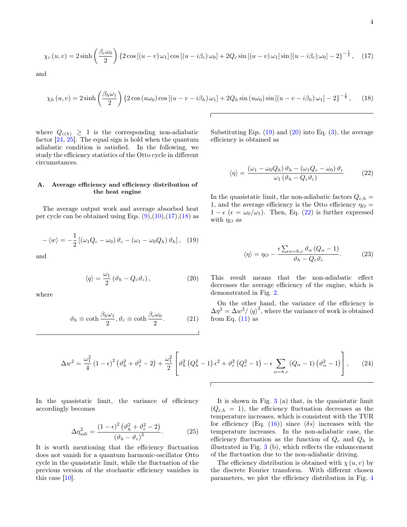<span id="page-3-0"></span>
$$
\chi_c(u,v) = 2\sinh\left(\frac{\beta_c\omega_0}{2}\right) \left\{2\cos\left[(u-v)\,\omega_1\right]\cos\left[(u-i\beta_c)\,\omega_0\right] + 2Q_c\sin\left[(u-v)\,\omega_1\right]\sin\left[(u-i\beta_c)\,\omega_0\right] - 2\right\}^{-\frac{1}{2}},\tag{17}
$$

and

<span id="page-3-1"></span>
$$
\chi_h(u,v) = 2\sinh\left(\frac{\beta_h\omega_1}{2}\right) \left\{2\cos\left(u\omega_0\right)\cos\left[\left(u-v-i\beta_h\right)\omega_1\right] + 2Q_h\sin\left(u\omega_0\right)\sin\left[\left(u-v-i\beta_h\right)\omega_1\right] - 2\right\}^{-\frac{1}{2}},\tag{18}
$$

where  $Q_{c(h)} \geq 1$  is the corresponding non-adiabatic factor  $[24, 25]$  $[24, 25]$  $[24, 25]$ . The equal sign is hold when the quantum adiabatic condition is satisfied. In the following, we study the efficiency statistics of the Otto cycle in different circumstances.

## A. Average efficiency and efficiency distribution of the heat engine

The average output work and average absorbed heat per cycle can be obtained using Eqs.  $(9)$ , $(10)$ , $(17)$ , $(18)$  as

$$
-\langle w \rangle = -\frac{1}{2} \left[ \left( \omega_1 Q_c - \omega_0 \right) \vartheta_c - \left( \omega_1 - \omega_0 Q_h \right) \vartheta_h \right], \quad (19)
$$

and

<span id="page-3-3"></span>
$$
\langle q \rangle = \frac{\omega_1}{2} \left( \vartheta_h - Q_c \vartheta_c \right), \tag{20}
$$

where

$$
\vartheta_h \equiv \coth \frac{\beta_h \omega_1}{2}, \vartheta_c \equiv \coth \frac{\beta_c \omega_0}{2}.
$$
 (21)

Substituting Eqs.  $(19)$  and  $(20)$  into Eq.  $(3)$ , the average efficiency is obtained as

<span id="page-3-4"></span>
$$
\langle \eta \rangle = \frac{(\omega_1 - \omega_0 Q_h) \,\vartheta_h - (\omega_1 Q_c - \omega_0) \,\vartheta_c}{\omega_1 \, (\vartheta_h - Q_c \vartheta_c)} \tag{22}
$$

<span id="page-3-2"></span>In the quasistatic limit, the non-adiabatic factors  $Q_{c,h} =$ 1, and the average efficiency is the Otto efficiency  $\eta_O =$  $1 - \epsilon$  ( $\epsilon = \omega_0/\omega_1$ ). Then, Eq. [\(22\)](#page-3-4) is further expressed with  $\eta_O$  as

$$
\langle \eta \rangle = \eta_O - \frac{\epsilon \sum_{\alpha=h,c} \vartheta_{\alpha} (Q_{\alpha} - 1)}{\vartheta_h - Q_c \vartheta_c}.
$$
 (23)

This result means that the non-adiabatic effect decreases the average efficiency of the engine, which is demonstrated in Fig. [2.](#page-4-0)

On the other hand, the variance of the efficiency is  $\Delta \eta^2 = \Delta w^2 / \langle q \rangle^2$ , where the variance of work is obtained from Eq.  $(11)$  as

$$
\Delta w^{2} = \frac{\omega_{1}^{2}}{4} (1 - \epsilon)^{2} (\vartheta_{h}^{2} + \vartheta_{c}^{2} - 2) + \frac{\omega_{1}^{2}}{2} \left[ \vartheta_{h}^{2} (Q_{h}^{2} - 1) \epsilon^{2} + \vartheta_{c}^{2} (Q_{c}^{2} - 1) - \epsilon \sum_{\alpha = h, c} (Q_{\alpha} - 1) (\vartheta_{\alpha}^{2} - 1) \right],
$$
 (24)

In the quasistatic limit, the variance of efficiency accordingly becomes

$$
\Delta \eta_{adi}^2 = \frac{\left(1 - \epsilon\right)^2 \left(\vartheta_h^2 + \vartheta_c^2 - 2\right)}{\left(\vartheta_h - \vartheta_c\right)^2}.
$$
\n(25)

It is worth mentioning that the efficiency fluctuation does not vanish for a quantum harmonic-oscillator Otto cycle in the quasistatic limit, while the fluctuation of the previous version of the stochastic efficiency vanishes in this case [\[10\]](#page-9-6).

It is shown in Fig. [3](#page-4-1) (a) that, in the quasistatic limit  $(Q_{c,h} = 1)$ , the efficiency fluctuation decreases as the temperature increases, which is consistent with the TUR for efficiency (Eq. [\(16\)](#page-2-5)) since  $\langle \delta s \rangle$  increases with the temperature increases. In the non-adiabatic case, the efficiency fluctuation as the function of  $Q_c$  and  $Q_h$  is illustrated in Fig. [3](#page-4-1) (b), which reflects the enhancement of the fluctuation due to the non-adiabatic driving.

The efficiency distribution is obtained with  $\chi(u, v)$  by the discrete Fourier transform. With different chosen parameters, we plot the efficiency distribution in Fig. [4](#page-5-0)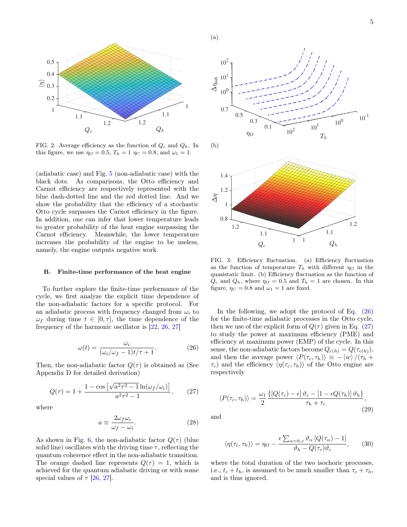

<span id="page-4-0"></span>FIG. 2: Average efficiency as the function of  $Q_c$  and  $Q_h$ . In this figure, we use  $\eta_O = 0.5$ ,  $T_h = 1 \eta_C = 0.8$ , and  $\omega_1 = 1$ .

(adiabatic case) and Fig. [5](#page-5-1) (non-adiabatic case) with the black dots. As comparisons, the Otto efficiency and Carnot efficiency are respectively represented with the blue dash-dotted line and the red dotted line. And we show the probability that the efficiency of a stochastic Otto cycle surpasses the Carnot efficiency in the figure. In addition, one can infer that lower temperature leads to greater probability of the heat engine surpassing the Carnot efficiency. Meanwhile, the lower temperature increases the probability of the engine to be useless, namely, the engine outputs negative work.

### B. Finite-time performance of the heat engine

To further explore the finite-time performance of the cycle, we first analyze the explicit time dependence of the non-adiabatic factors for a specific protocol. For an adiabatic process with frequency changed from  $\omega_i$  to  $\omega_f$  during time  $t \in [0, \tau]$ , the time dependence of the frequency of the harmonic oscillator is [\[22,](#page-9-17) [26,](#page-9-22) [27\]](#page-9-23)

<span id="page-4-2"></span>
$$
\omega(t) = \frac{\omega_i}{(\omega_i/\omega_f - 1)t/\tau + 1}.
$$
\n(26)

Then, the non-adiabatic factor  $Q(\tau)$  is obtained as (See Appendix D for detailed derivation)

<span id="page-4-3"></span>
$$
Q(\tau) = 1 + \frac{1 - \cos\left[\sqrt{a^2 \tau^2 - 1} \ln(\omega_f/\omega_i)\right]}{a^2 \tau^2 - 1}, \quad (27)
$$

where

$$
a \equiv \frac{2\omega_f \omega_i}{\omega_f - \omega_i}.
$$
 (28)

As shown in Fig. [6,](#page-5-2) the non-adiabatic factor  $Q(\tau)$  (blue solid line) oscillates with the driving time  $\tau$ , reflecting the quantum coherence effect in the non-adiabatic transition. The orange dashed line represents  $Q(\tau) = 1$ , which is achieved for the quantum adiabatic driving or with some special values of  $\tau$  [\[26,](#page-9-22) [27\]](#page-9-23).



<span id="page-4-1"></span>FIG. 3: Efficiency fluctuation. (a) Efficiency fluctuation as the function of temperature  $T_h$  with different  $\eta_O$  in the quasistatic limit. (b) Efficiency fluctuation as the function of  $Q_c$  and  $Q_h$ , where  $\eta_O = 0.5$  and  $T_h = 1$  are chosen. In this figure,  $\eta_C = 0.8$  and  $\omega_1 = 1$  are fixed.

In the following, we adopt the protocol of Eq. [\(26\)](#page-4-2) for the finite-time adiabatic processes in the Otto cycle, then we use of the explicit form of  $Q(\tau)$  given in Eq. [\(27\)](#page-4-3) to study the power at maximum efficiency (PME) and efficiency at maximum power (EMP) of the cycle. In this sense, the non-adiabatic factors become  $Q_{c(h)} = Q(\tau_{c(h)}),$ and then the average power  $\langle P(\tau_c, \tau_h)\rangle \equiv -\langle w \rangle /(\tau_h +$  $\tau_c$ ) and the efficiency  $\langle \eta(\tau_c, \tau_h) \rangle$  of the Otto engine are respectively

$$
\langle P(\tau_c, \tau_h) \rangle = \frac{\omega_1}{2} \frac{\{ [Q(\tau_c) - \epsilon] \vartheta_c - [1 - \epsilon Q(\tau_h)] \vartheta_h \}}{\tau_h + \tau_c},
$$
\n(29)

and

$$
\langle \eta(\tau_c, \tau_h) \rangle = \eta_O - \frac{\epsilon \sum_{\alpha=h,c} \vartheta_\alpha \left[ Q(\tau_\alpha) - 1 \right]}{\vartheta_h - Q(\tau_c) \vartheta_c}, \qquad (30)
$$

where the total duration of the two isochoric processes, i.e.,  $t_c + t_h$ , is assumed to be much smaller than  $\tau_c + \tau_h$ , and is thus ignored.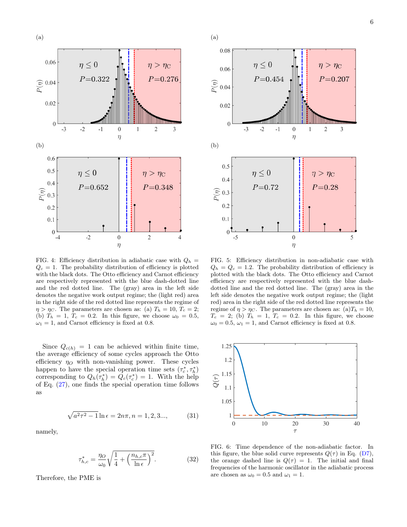

<span id="page-5-0"></span>FIG. 4: Efficiency distribution in adiabatic case with  $Q_h$  =  $Q_c = 1$ . The probability distribution of efficiency is plotted with the black dots. The Otto efficiency and Carnot efficiency are respectively represented with the blue dash-dotted line and the red dotted line. The (gray) area in the left side denotes the negative work output regime; the (light red) area in the right side of the red dotted line represents the regime of  $\eta > \eta_C$ . The parameters are chosen as: (a)  $T_h = 10$ ,  $T_c = 2$ ; (b)  $T_h = 1$ ,  $T_c = 0.2$ . In this figure, we choose  $\omega_0 = 0.5$ ,  $\omega_1 = 1$ , and Carnot efficiency is fixed at 0.8.

Since  $Q_{c(h)} = 1$  can be achieved within finite time, the average efficiency of some cycles approach the Otto efficiency  $\eta_O$  with non-vanishing power. These cycles happen to have the special operation time sets  $(\tau_c^*, \tau_h^*)$ corresponding to  $Q_h(\tau_h^*) = Q_c(\tau_c^*) = 1$ . With the help of Eq. [\(27\)](#page-4-3), one finds the special operation time follows as

$$
\sqrt{a^2 \tau^2 - 1} \ln \epsilon = 2n\pi, n = 1, 2, 3..., \tag{31}
$$

namely,

$$
\tau_{h,c}^* = \frac{\eta_O}{\omega_0} \sqrt{\frac{1}{4} + \left(\frac{n_{h,c}\pi}{\ln \epsilon}\right)^2}.
$$
 (32)

Therefore, the PME is



<span id="page-5-1"></span>FIG. 5: Efficiency distribution in non-adiabatic case with  $Q_h = Q_c = 1.2$ . The probability distribution of efficiency is plotted with the black dots. The Otto efficiency and Carnot efficiency are respectively represented with the blue dashdotted line and the red dotted line. The (gray) area in the left side denotes the negative work output regime; the (light red) area in the right side of the red dotted line represents the regime of  $\eta > \eta_C$ . The parameters are chosen as: (a)  $T_h = 10$ ,  $T_c = 2$ ; (b)  $T_h = 1$ ,  $T_c = 0.2$ . In this figure, we choose  $\omega_0 = 0.5$ ,  $\omega_1 = 1$ , and Carnot efficiency is fixed at 0.8.



<span id="page-5-2"></span>FIG. 6: Time dependence of the non-adiabatic factor. In this figure, the blue solid curve represents  $Q(\tau)$  in Eq. [\(D7\)](#page-9-24), the orange dashed line is  $Q(\tau) = 1$ . The initial and final frequencies of the harmonic oscillator in the adiabatic process are chosen as  $\omega_0 = 0.5$  and  $\omega_1 = 1$ .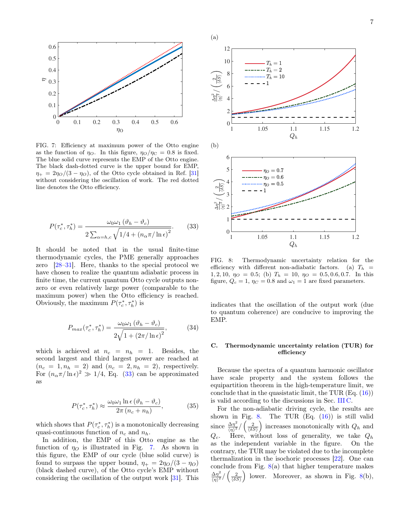

<span id="page-6-1"></span>FIG. 7: Efficiency at maximum power of the Otto engine as the function of  $\eta_O$ . In this figure,  $\eta_O/\eta_C = 0.8$  is fixed. The blue solid curve represents the EMP of the Otto engine. The black dash-dotted curve is the upper bound for EMP,  $\eta_+ = 2\eta_O/(3 - \eta_O)$ , of the Otto cycle obtained in Ref. [\[31\]](#page-9-25) without considering the oscillation of work. The red dotted line denotes the Otto efficiency.

<span id="page-6-0"></span>
$$
P(\tau_c^*, \tau_h^*) = \frac{\omega_0 \omega_1 (\vartheta_h - \vartheta_c)}{2 \sum_{\alpha = h, c} \sqrt{1/4 + (n_\alpha \pi / \ln \epsilon)^2}}.
$$
 (33)

It should be noted that in the usual finite-time thermodynamic cycles, the PME generally approaches zero [\[28](#page-9-26)[–31\]](#page-9-25). Here, thanks to the special protocol we have chosen to realize the quantum adiabatic process in finite time, the current quantum Otto cycle outputs nonzero or even relatively large power (comparable to the maximum power) when the Otto efficiency is reached. Obviously, the maximum  $P(\tau_c^*, \tau_h^*)$  is

$$
P_{max}(\tau_c^*, \tau_h^*) = \frac{\omega_0 \omega_1 \left(\vartheta_h - \vartheta_c\right)}{2\sqrt{1 + \left(2\pi/\ln\epsilon\right)^2}},\tag{34}
$$

which is achieved at  $n_c = n_h = 1$ . Besides, the second largest and third largest power are reached at  $(n_c = 1, n_h = 2)$  and  $(n_c = 2, n_h = 2)$ , respectively. For  $(n_{\alpha}\pi/\ln \epsilon)^2 \gg 1/4$ , Eq. [\(33\)](#page-6-0) can be approximated as

$$
P(\tau_c^*, \tau_h^*) \approx \frac{\omega_0 \omega_1 \ln \epsilon (\vartheta_h - \vartheta_c)}{2\pi (n_c + n_h)},\tag{35}
$$

which shows that  $P(\tau_c^*, \tau_h^*)$  is a monotonically decreasing quasi-continuous function of  $n_c$  and  $n_h$ .

In addition, the EMP of this Otto engine as the function of  $\eta_{\Omega}$  is illustrated in Fig. [7.](#page-6-1) As shown in this figure, the EMP of our cycle (blue solid curve) is found to surpass the upper bound,  $\eta_+ = 2\eta_O/(3 - \eta_O)$ (black dashed curve), of the Otto cycle's EMP without considering the oscillation of the output work [\[31\]](#page-9-25). This



<span id="page-6-2"></span>FIG. 8: Thermodynamic uncertainty relation for the efficiency with different non-adiabatic factors. (a)  $T_h$  = 1, 2, 10,  $\eta_O = 0.5$ ; (b)  $T_h = 10$ ,  $\eta_O = 0.5, 0.6, 0.7$ . In this figure,  $Q_c = 1$ ,  $\eta_C = 0.8$  and  $\omega_1 = 1$  are fixed parameters.

indicates that the oscillation of the output work (due to quantum coherence) are conducive to improving the EMP.

## C. Thermodynamic uncertainty relation (TUR) for efficiency

Because the spectra of a quantum harmonic oscillator have scale property and the system follows the equipartition theorem in the high-temperature limit, we conclude that in the quasistatic limit, the TUR  $(Eq. (16))$  $(Eq. (16))$  $(Eq. (16))$ is valid according to the discussions in Sec. [III C.](#page-2-7)

For the non-adiabatic driving cycle, the results are shown in Fig. [8.](#page-6-2) The TUR  $(Eq. (16))$  $(Eq. (16))$  $(Eq. (16))$  is still valid since  $\frac{\Delta \eta^2}{\langle n \rangle^2}$  $\frac{\Delta \eta^2}{\langle \eta \rangle^2} / \left(\frac{2}{\langle \delta S \rangle}\right)$  increases monotonically with  $Q_h$  and  $Q_c$ . Here, without loss of generality, we take  $Q_h$ as the independent variable in the figure. On the contrary, the TUR may be violated due to the incomplete thermalization in the isochoric processes [\[22\]](#page-9-17). One can conclude from Fig.  $8(a)$  $8(a)$  that higher temperature makes  $\Delta\eta^2$  $\frac{\Delta \eta^2}{\langle \eta \rangle^2}/\left(\frac{2}{\langle \delta S \rangle}\right)$ lower. Moreover, as shown in Fig. [8\(](#page-6-2)b),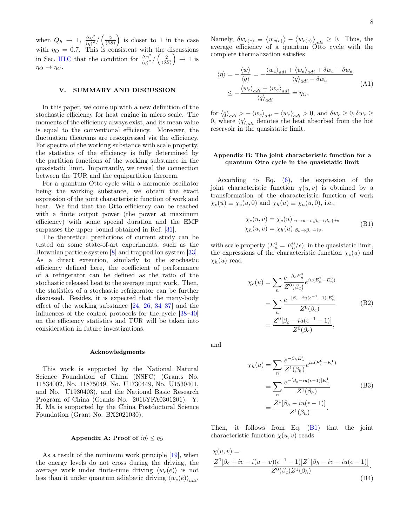when  $Q_h \rightarrow 1$ ,  $\frac{\Delta \eta^2}{\langle n \rangle^2}$  $\frac{\Delta\eta^2}{\langle\eta\rangle^2}/\left(\frac{2}{\langle\delta S\rangle}\right)$  is closer to 1 in the case with  $\eta_O = 0.7$ . This is consistent with the discussions in Sec. IIIC that the condition for  $\frac{\Delta \eta^2}{\sqrt{n^2}}$  $\frac{\Delta\eta^2}{\langle\eta\rangle^2}/\left(\frac{2}{\langle\delta S\rangle}\right)\rightarrow 1$  is  $\eta_O \rightarrow \eta_C$ .

### <span id="page-7-0"></span>V. SUMMARY AND DISCUSSION

In this paper, we come up with a new definition of the stochastic efficiency for heat engine in micro scale. The moments of the efficiency always exist, and its mean value is equal to the conventional efficiency. Moreover, the fluctuation theorems are resexpressed via the efficiency. For spectra of the working substance with scale property, the statistics of the efficiency is fully determined by the partition functions of the working substance in the quasistatic limit. Importantly, we reveal the connection between the TUR and the equipartition theorem.

For a quantum Otto cycle with a harmonic oscillator being the working substance, we obtain the exact expression of the joint characteristic function of work and heat. We find that the Otto efficiency can be reached with a finite output power (the power at maximum efficiency) with some special duration and the EMP surpasses the upper bound obtained in Ref. [\[31\]](#page-9-25).

The theoretical predictions of current study can be tested on some state-of-art experiments, such as the Brownian particle system  $[8]$  and trapped ion system  $[33]$ . As a direct extention, similarly to the stochastic efficiency defined here, the coefficient of performance of a refrigerator can be defined as the ratio of the stochastic released heat to the average input work. Then, the statistics of a stochastic refrigerator can be further discussed. Besides, it is expected that the many-body effect of the working substance  $[24, 26, 34-37]$  $[24, 26, 34-37]$  $[24, 26, 34-37]$  $[24, 26, 34-37]$  $[24, 26, 34-37]$  and the influences of the control protocols for the cycle [\[38](#page-10-3)[–40\]](#page-10-4) on the efficiency statistics and TUR will be taken into consideration in future investigations.

#### Acknowledgments

This work is supported by the National Natural Science Foundation of China (NSFC) (Grants No. 11534002, No. 11875049, No. U1730449, No. U1530401, and No. U1930403), and the National Basic Research Program of China (Grants No. 2016YFA0301201). Y. H. Ma is supported by the China Postdoctoral Science Foundation (Grant No. BX2021030).

## Appendix A: Proof of  $\langle \eta \rangle \leq \eta_O$

As a result of the minimum work principle [\[19\]](#page-9-15), when the energy levels do not cross during the driving, the average work under finite-time driving  $\langle w_c(e) \rangle$  is not less than it under quantum adiabatic driving  $\langle w_c(e) \rangle_{adi}$ .

Namely,  $\delta w_{c(e)} \equiv \langle w_{c(e)} \rangle - \langle w_{c(e)} \rangle_{adi} \geq 0$ . Thus, the average efficiency of a quantum Otto cycle with the complete thermalization satisfies

<span id="page-7-1"></span>
$$
\langle \eta \rangle = -\frac{\langle w \rangle}{\langle q \rangle} = -\frac{\langle w_c \rangle_{adi} + \langle w_e \rangle_{adi} + \delta w_c + \delta w_e}{\langle q \rangle_{adi} - \delta w_c}
$$
\n
$$
\leq -\frac{\langle w_c \rangle_{adi} + \langle w_e \rangle_{adi}}{\langle q \rangle_{adi}} = \eta_O,
$$
\n(A1)

for  $\langle q \rangle_{adi} > - \langle w_c \rangle_{adi} - \langle w_e \rangle_{adi} > 0$ , and  $\delta w_c \ge 0, \delta w_e \ge$ 0, where  $\langle q \rangle_{adi}$  denotes the heat absorbed from the hot reservoir in the quasistatic limit.

# Appendix B: The joint characteristic function for a quantum Otto cycle in the quasistatic limit

According to Eq. [\(6\)](#page-1-5), the expression of the joint characteristic function  $\chi(u, v)$  is obtained by a transformation of the characteristic function of work  $\chi_c(u) \equiv \chi_c(u,0)$  and  $\chi_h(u) \equiv \chi_h(u,0)$ , i.e.,

$$
\chi_c(u, v) = \chi_c(u)|_{u \to u - v, \beta_c \to \beta_c + iv}
$$
  
\n
$$
\chi_h(u, v) = \chi_h(u)|_{\beta_h \to \beta_h - iv}.
$$
 (B1)

with scale property  $(E_n^1 = E_n^0/\epsilon)$ , in the quasistatic limit, the expressions of the characteristic function  $\chi_c(u)$  and  $\chi_h(u)$  read

$$
\chi_c(u) = \sum_n \frac{e^{-\beta_c E_n^0}}{Z^0(\beta_c)} e^{iu(E_n^1 - E_n^0)}
$$
  
= 
$$
\sum_n \frac{e^{-[\beta_c - iu(\epsilon^{-1} - 1)]E_n^0}}{Z^0(\beta_c)}
$$
  
= 
$$
\frac{Z^0[\beta_c - iu(\epsilon^{-1} - 1)]}{Z^0(\beta_c)},
$$
 (B2)

and

$$
\chi_h(u) = \sum_n \frac{e^{-\beta_h E_n^1}}{Z^1(\beta_h)} e^{iu(E_n^0 - E_n^1)}
$$
  
= 
$$
\sum_n \frac{e^{-[\beta_c - iu(\epsilon - 1)]E_n^1}}{Z^1(\beta_h)}
$$
 (B3)  
= 
$$
\frac{Z^1[\beta_h - iu(\epsilon - 1)]}{Z^1(\beta_h)}
$$
.

Then, it follows from Eq.  $(B1)$  that the joint characteristic function  $\chi(u, v)$  reads

<span id="page-7-2"></span>
$$
\chi(u, v) =
$$
  
\n
$$
\frac{Z^{0}[\beta_c + iv - i(u - v)(\epsilon^{-1} - 1)]Z^{1}[\beta_h - iv - iu(\epsilon - 1)]}{Z^{0}(\beta_c)Z^{1}(\beta_h)}.
$$
  
\n(B4)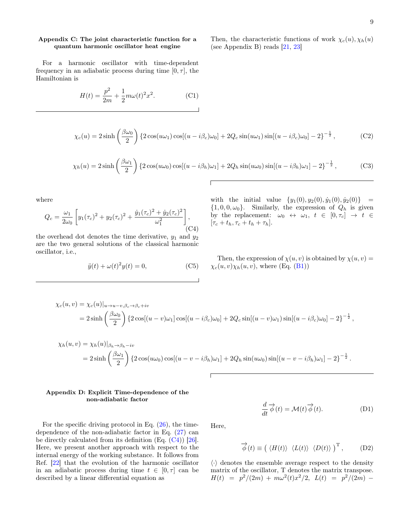Then, the characteristic functions of work  $\chi_c(u), \chi_h(u)$ (see Appendix B) reads [\[21,](#page-9-18) [23\]](#page-9-19)

# Appendix C: The joint characteristic function for a quantum harmonic oscillator heat engine

For a harmonic oscillator with time-dependent frequency in an adiabatic process during time  $[0, \tau]$ , the Hamiltonian is

$$
H(t) = \frac{p^2}{2m} + \frac{1}{2}m\omega(t)^2 x^2.
$$
 (C1)

$$
\chi_c(u) = 2\sinh\left(\frac{\beta\omega_0}{2}\right) \left\{2\cos(u\omega_1)\cos[(u-i\beta_c)\omega_0] + 2Q_c\sin(u\omega_1)\sin[(u-i\beta_c)\omega_0] - 2\right\}^{-\frac{1}{2}},\tag{C2}
$$

$$
\chi_h(u) = 2\sinh\left(\frac{\beta\omega_1}{2}\right) \left\{2\cos(u\omega_0)\cos[(u-i\beta_h)\omega_1] + 2Q_h\sin(u\omega_0)\sin[(u-i\beta_h)\omega_1] - 2\right\}^{-\frac{1}{2}},\tag{C3}
$$

where

$$
Q_c = \frac{\omega_1}{2\omega_0} \left[ y_1(\tau_c)^2 + y_2(\tau_c)^2 + \frac{\dot{y}_1(\tau_c)^2 + \dot{y}_2(\tau_c)^2}{\omega_1^2} \right],
$$
\n(C4)

the overhead dot denotes the time derivative,  $y_1$  and  $y_2$ are the two general solutions of the classical harmonic oscillator, i.e.,

$$
\ddot{y}(t) + \omega(t)^2 y(t) = 0,\tag{C5}
$$

with the initial value  $\{y_1(0), y_2(0), \dot{y}_1(0), \dot{y}_2(0)\}$  =  $\{1, 0, 0, \omega_0\}$ . Similarly, the expression of  $Q_h$  is given by the replacement:  $\omega_0 \leftrightarrow \omega_1, t \in [0, \tau_c] \rightarrow t \in$  $[\tau_c + t_h, \tau_c + t_h + \tau_h].$ 

Then, the expression of  $\chi(u, v)$  is obtained by  $\chi(u, v)$  =  $\chi_c(u, v)\chi_h(u, v)$ , where (Eq. [\(B1\)](#page-7-1))

$$
\chi_c(u,v) = \chi_c(u)|_{u \to u - v, \beta_c \to \beta_c + iv}
$$
  
=  $2 \sinh\left(\frac{\beta \omega_0}{2}\right) \left\{2 \cos[(u - v)\omega_1] \cos[(u - i\beta_c)\omega_0] + 2Q_c \sin[(u - v)\omega_1] \sin[(u - i\beta_c)\omega_0] - 2\right\}^{-\frac{1}{2}},$ 

$$
\chi_h(u,v) = \chi_h(u)|_{\beta_h \to \beta_h - iv}
$$
  
=  $2 \sinh\left(\frac{\beta \omega_1}{2}\right) \left\{2 \cos(u\omega_0) \cos[(u - v - i\beta_h)\omega_1] + 2Q_h \sin(u\omega_0) \sin[(u - v - i\beta_h)\omega_1] - 2\right\}^{-\frac{1}{2}}.$ 

# Appendix D: Explicit Time-dependence of the non-adiabatic factor

d  $\frac{d}{dt}\vec{\phi}(t) = \mathcal{M}(t)\vec{\phi}(t).$ (D1)

For the specific driving protocol in Eq.  $(26)$ , the timedependence of the non-adiabatic factor in Eq. [\(27\)](#page-4-3) can be directly calculated from its definition  $(Eq. (C4))$  $(Eq. (C4))$  $(Eq. (C4))$  [\[26\]](#page-9-22). Here, we present another approach with respect to the internal energy of the working substance. It follows from Ref. [\[22\]](#page-9-17) that the evolution of the harmonic oscillator in an adiabatic process during time  $t \in [0, \tau]$  can be described by a linear differential equation as

Here,

$$
\vec{\phi}(t) \equiv \left(\langle H(t) \rangle \langle L(t) \rangle \langle D(t) \rangle \right)^{\mathrm{T}}, \quad (D2)
$$

 $\langle \cdot \rangle$  denotes the ensemble average respect to the density matrix of the oscillator, T denotes the matrix transpose.  $H(t) = p^2/(2m) + m\omega^2(t)x^2/2, L(t) = p^2/(2m) -$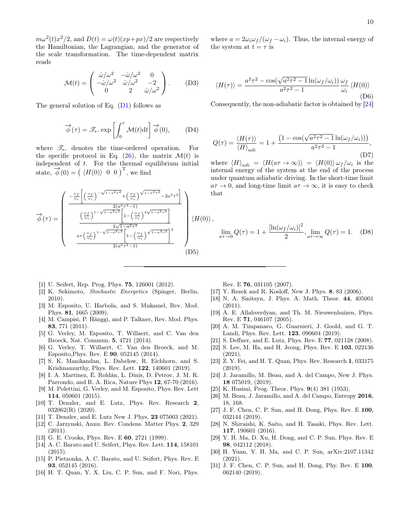$m\omega^2(t)x^2/2$ , and  $D(t) = \omega(t)(xp+px)/2$  are respectively the Hamiltonian, the Lagrangian, and the generator of the scale transformation. The time-dependent matrix reads

$$
\mathcal{M}(t) = \begin{pmatrix} \dot{\omega}/\omega^2 & -\dot{\omega}/\omega^2 & 0\\ -\dot{\omega}/\omega^2 & \dot{\omega}/\omega^2 & -2\\ 0 & 2 & \dot{\omega}/\omega^2 \end{pmatrix} .
$$
 (D3)

The general solution of Eq.  $(D1)$  follows as

$$
\overrightarrow{\phi}(\tau) = \mathscr{T}_{\leftarrow} \exp\left[\int_0^{\tau} \mathcal{M}(t) dt\right] \overrightarrow{\phi}(0), \quad (D4)
$$

where  $\mathscr{T}_\leftarrow$  denotes the time-ordered operation. For the specific protocol in Eq.  $(26)$ , the matrix  $\mathcal{M}(t)$  is independent of  $t$ . For the thermal equilibrium initial state,  $\vec{\phi}(0) = (\langle H(0) \rangle \begin{bmatrix} 0 & 0 \end{bmatrix})^T$ , we find

$$
\overrightarrow{\phi}(\tau) = \begin{pmatrix}\n\frac{-\frac{\omega_f}{\omega_i} \left[ \left(\frac{\omega_f}{\omega_i}\right)^{-\sqrt{1-a^2\tau^2}} + \left(\frac{\omega_f}{\omega_i}\right)^{\sqrt{1-a^2\tau^2}} - 2a^2\tau^2 \right]}{\frac{2(a^2\tau^2 - 1)}{a^2\tau^2} \left[ 1 - \left(\frac{\omega_f}{\omega_i}\right)^{2\sqrt{1-a^2\tau^2}} \right]} \\
\frac{\frac{\omega_f}{\omega_i} \left[ 1 - \sqrt{1-a^2\tau^2} \right] \left[ 1 - \left(\frac{\omega_f}{\omega_i}\right)^{2\sqrt{1-a^2\tau^2}} \right]}{2(a^2\tau^2 - 1)}\n\end{pmatrix} \langle H(0) \rangle
$$
\n
$$
(B5)
$$

where  $a = 2\omega_i \omega_f/(\omega_f - \omega_i)$ . Thus, the internal energy of the system at  $t = \tau$  is

$$
\langle H(\tau) \rangle = \frac{a^2 \tau^2 - \cos(\sqrt{a^2 \tau^2 - 1} \ln(\omega_f/\omega_i))}{a^2 \tau^2 - 1} \frac{\omega_f}{\omega_i} \langle H(0) \rangle
$$
\n(D6)

Consequently, the non-adiabatic factor is obtained by [\[24\]](#page-9-20)

<span id="page-9-24"></span>
$$
Q(\tau) = \frac{\langle H(\tau) \rangle}{\langle H \rangle_{adi}} = 1 + \frac{\left(1 - \cos(\sqrt{a^2 \tau^2 - 1} \ln(\omega_f/\omega_i))\right)}{a^2 \tau^2 - 1},\tag{D7}
$$

where  $\langle H \rangle_{adi} = \langle H(a\tau \to \infty) \rangle = \langle H(0) \rangle \omega_f / \omega_i$  is the internal energy of the system at the end of the process under quantum adiabatic driving. In the short-time limit  $a\tau \to 0$ , and long-time limit  $a\tau \to \infty$ , it is easy to check that

$$
\lim_{a\tau \to 0} Q(\tau) = 1 + \frac{\left[\ln(\omega_f/\omega_i)\right]^2}{2}, \lim_{a\tau \to \infty} Q(\tau) = 1.
$$
 (D8)

- <span id="page-9-0"></span>[1] U. Seifert, Rep. Prog. Phys. **75**, 126001 (2012).
- <span id="page-9-1"></span>[2] K. Sekimoto, Stochastic Energetics (Spinger, Berlin, 2010).
- <span id="page-9-2"></span>[3] M. Esposito, U. Harbola, and S. Mukamel, Rev. Mod. Phys. 81, 1665 (2009).
- <span id="page-9-3"></span>[4] M. Campisi, P. Hänggi, and P. Talkner, Rev. Mod. Phys. 83, 771 (2011).
- <span id="page-9-4"></span>[5] G. Verley, M. Esposito, T. Willaert, and C. Van den Broeck, Nat. Commun. 5, 4721 (2014).
- [6] G. Verley, T. Willaert, C. Van den Broeck, and M. Esposito,Phys. Rev. E 90, 052145 (2014).
- [7] S. K. Manikandan, L. Dabelow, R. Eichhorn, and S. Krishnamurthy, Phys. Rev. Lett. 122, 140601 (2019).
- <span id="page-9-27"></span>[8] I. A. Martínez, É. Roldán, L. Dinis, D. Petrov, J. M. R. Parrondo, and R. A. Rica, Nature Phys 12, 67-70 (2016).
- <span id="page-9-5"></span>[9] M. Polettini, G. Verley, and M. Esposito, Phys. Rev. Lett 114, 050601 (2015).
- <span id="page-9-6"></span>[10] T. Denzler, and E. Lutz, Phys. Rev. Research 2, 032062(R) (2020).
- <span id="page-9-7"></span>[11] T. Denzler, and E. Lutz New J. Phys. 23 075003 (2021).
- <span id="page-9-8"></span>[12] C. Jarzynski, Annu. Rev. Condens. Matter Phys. 2, 329 (2011).
- <span id="page-9-9"></span>[13] G. E. Crooks, Phys. Rev. E **60**, 2721 (1999).
- <span id="page-9-10"></span>[14] A. C. Barato and U. Seifert, Phys. Rev. Lett. 114, 158101  $(2015).$
- <span id="page-9-11"></span>[15] P. Pietzonka, A. C. Barato, and U. Seifert, Phys. Rev. E 93, 052145 (2016).
- <span id="page-9-12"></span>[16] H. T. Quan, Y. X. Liu, C. P. Sun, and F. Nori, Phys.

Rev. E 76, 031105 (2007).

- <span id="page-9-13"></span>[17] Y. Rezek and R. Kosloff, New J. Phys. 8, 83 (2006).
- <span id="page-9-14"></span>[18] N. A. Sinitsyn, J. Phys. A: Math. Theor. 44, 405001 (2011).
- <span id="page-9-15"></span>[19] A. E. Allahverdyan, and Th. M. Nieuwenhuizen, Phys. Rev. E 71, 046107 (2005).
- <span id="page-9-16"></span>[20] A. M. Timpanaro, G. Guarnieri, J. Goold, and G. T. Landi, Phys. Rev. Lett. 123, 090604 (2019).
- <span id="page-9-18"></span>[21] S. Deffner, and E. Lutz, Phys. Rev. E 77, 021128 (2008).
- <span id="page-9-17"></span>[22] S. Lee, M. Ha, and H. Jeong, Phys. Rev. E 103, 022136 (2021).
- <span id="page-9-19"></span>[23] Z. Y. Fei, and H. T. Quan, Phys. Rev. Research 1, 033175 (2019).
- <span id="page-9-20"></span>[24] J. Jaramillo, M. Beau, and A. del Campo, New J. Phys. 18 075019, (2019).
- <span id="page-9-21"></span>[25] K. Husimi, Prog. Theor. Phys. 9(4) 381 (1953).
- <span id="page-9-22"></span>[26] M. Beau, J. Jaramillo, and A. del Campo, Entropy 2016, 18, 168.
- <span id="page-9-23"></span>[27] J. F. Chen, C. P. Sun, and H. Dong, Phys. Rev. E 100, 032144 (2019).
- <span id="page-9-26"></span>[28] N. Shiraishi, K. Saito, and H. Tasaki, Phys. Rev. Lett. 117, 190601 (2016).
- [29] Y. H. Ma, D. Xu, H. Dong, and C. P. Sun, Phys. Rev. E 98, 042112 (2018).
- [30] H. Yuan, Y. H. Ma, and C. P. Sun, arXiv:2107.11342 (2021).
- <span id="page-9-25"></span>[31] J. F. Chen, C. P. Sun, and H. Dong, Phy. Rev. E 100, 062140 (2019).